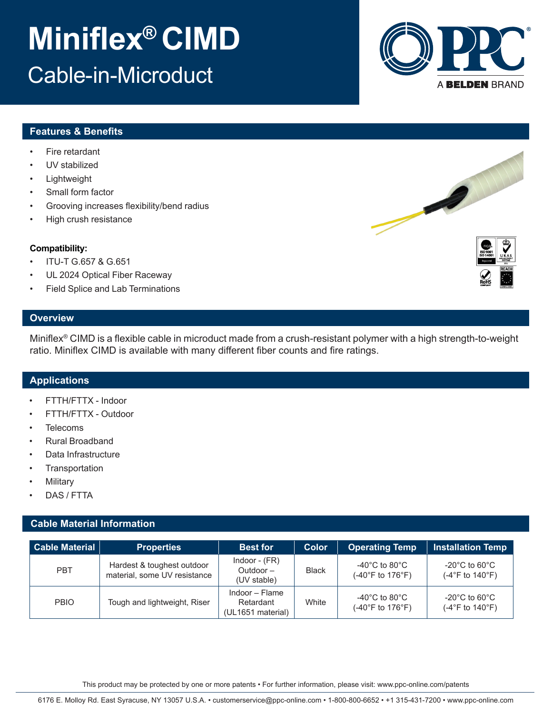# **Miniflex® CIMD** Cable-in-Microduct

## **Features & Benefits**

- Fire retardant
- UV stabilized
- **Lightweight**
- Small form factor
- Grooving increases flexibility/bend radius
- High crush resistance

## **Compatibility:**

- ITU-T G.657 & G.651
- UL 2024 Optical Fiber Raceway
- Field Splice and Lab Terminations

## **Overview**

Miniflex® CIMD is a flexible cable in microduct made from a crush-resistant polymer with a high strength-to-weight ratio. Miniflex CIMD is available with many different fiber counts and fire ratings.

## **Applications**

- FTTH/FTTX Indoor
- FTTH/FTTX Outdoor
- **Telecoms**
- Rural Broadband
- Data Infrastructure
- **Transportation**
- **Military**
- DAS / FTTA

## **Cable Material Information**

| <b>Cable Material</b> | <b>Properties</b>                                          | <b>Best for</b>                                  | <b>Color</b> | <b>Operating Temp</b>                                    | <b>Installation Temp</b>                                                   |  |
|-----------------------|------------------------------------------------------------|--------------------------------------------------|--------------|----------------------------------------------------------|----------------------------------------------------------------------------|--|
| <b>PBT</b>            | Hardest & toughest outdoor<br>material, some UV resistance | Indoor - $(FR)$<br>Outdoor $-$<br>(UV stable)    | <b>Black</b> | -40 $^{\circ}$ C to 80 $^{\circ}$ C<br>(-40°F to 176°F). | $-20^{\circ}$ C to 60 $^{\circ}$ C<br>(-4°F to 140°F)                      |  |
| <b>PBIO</b>           | Tough and lightweight, Riser                               | Indoor – Flame<br>Retardant<br>(UL1651 material) | White        | -40 $^{\circ}$ C to 80 $^{\circ}$ C<br>(-40°F to 176°F). | $-20^{\circ}$ C to 60 $^{\circ}$ C<br>$(-4^{\circ}$ F to 140 $^{\circ}$ F) |  |

This product may be protected by one or more patents • For further information, please visit: www.ppc-online.com/patents